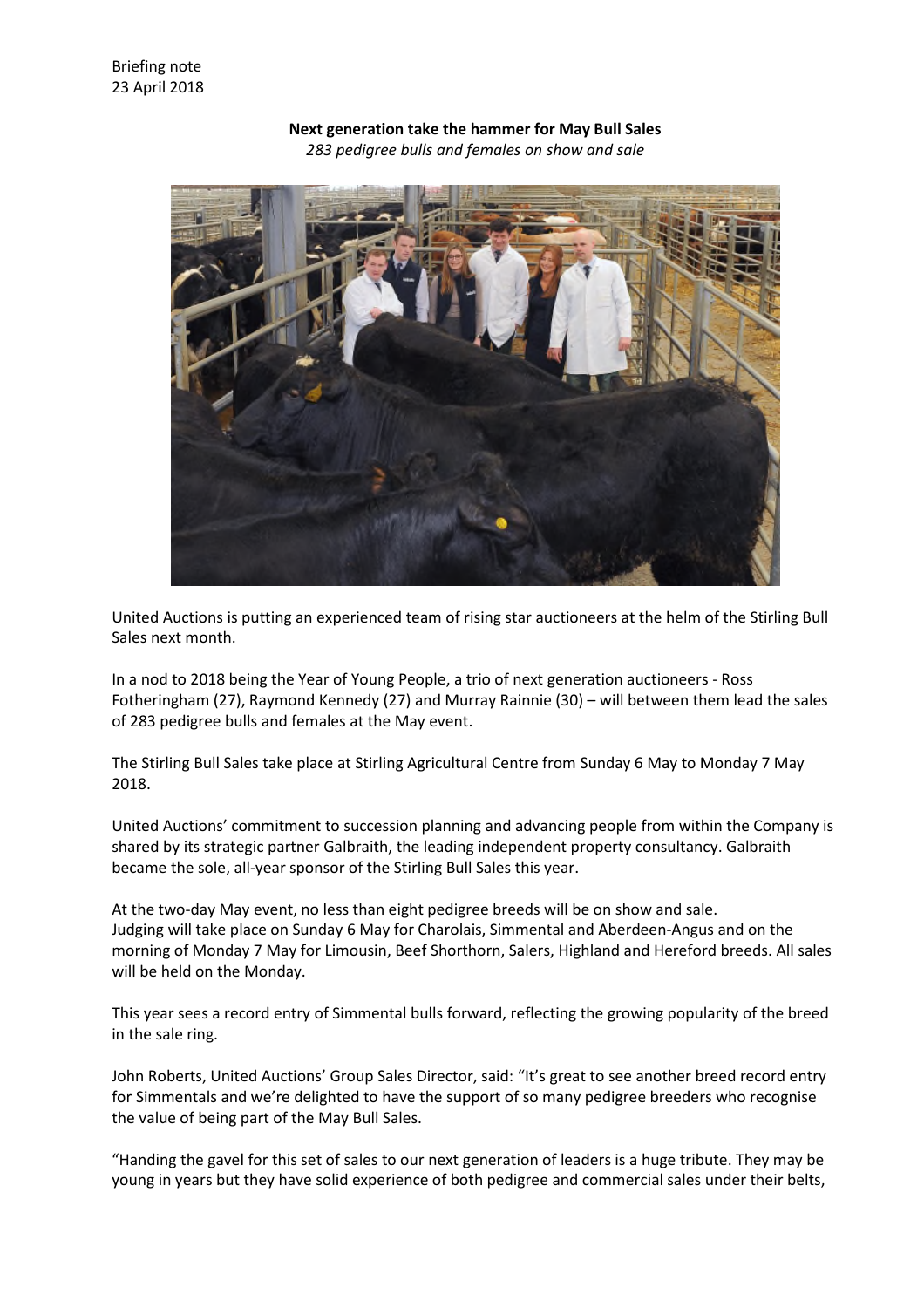

**Next generation take the hammer for May Bull Sales** *283 pedigree bulls and females on show and sale*

United Auctions is putting an experienced team of rising star auctioneers at the helm of the Stirling Bull Sales next month.

In a nod to 2018 being the Year of Young People, a trio of next generation auctioneers - Ross Fotheringham (27), Raymond Kennedy (27) and Murray Rainnie (30) – will between them lead the sales of 283 pedigree bulls and females at the May event.

The Stirling Bull Sales take place at Stirling Agricultural Centre from Sunday 6 May to Monday 7 May 2018.

United Auctions' commitment to succession planning and advancing people from within the Company is shared by its strategic partner Galbraith, the leading independent property consultancy. Galbraith became the sole, all-year sponsor of the Stirling Bull Sales this year.

At the two-day May event, no less than eight pedigree breeds will be on show and sale. Judging will take place on Sunday 6 May for Charolais, Simmental and Aberdeen-Angus and on the morning of Monday 7 May for Limousin, Beef Shorthorn, Salers, Highland and Hereford breeds. All sales will be held on the Monday.

This year sees a record entry of Simmental bulls forward, reflecting the growing popularity of the breed in the sale ring.

John Roberts, United Auctions' Group Sales Director, said: "It's great to see another breed record entry for Simmentals and we're delighted to have the support of so many pedigree breeders who recognise the value of being part of the May Bull Sales.

"Handing the gavel for this set of sales to our next generation of leaders is a huge tribute. They may be young in years but they have solid experience of both pedigree and commercial sales under their belts,